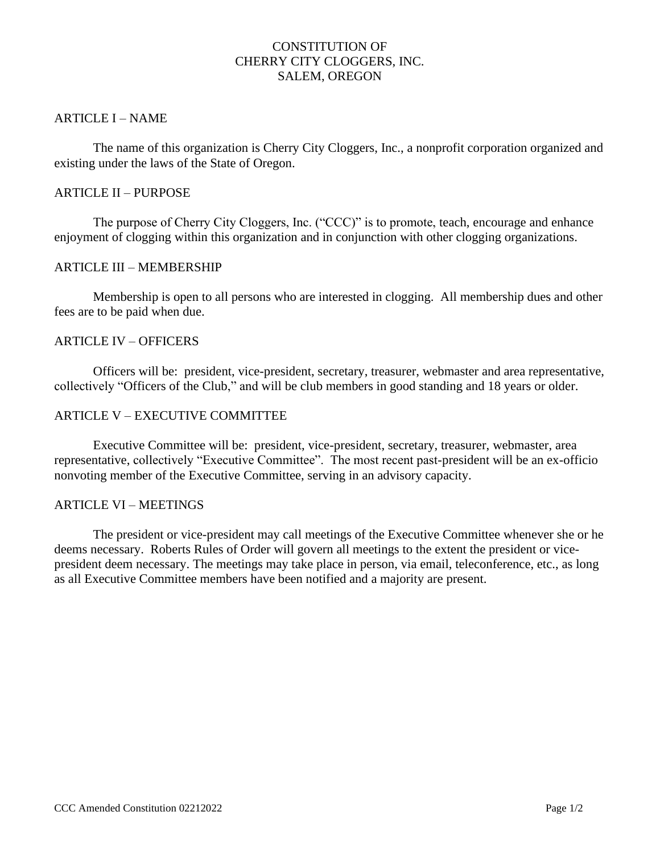# CONSTITUTION OF CHERRY CITY CLOGGERS, INC. SALEM, OREGON

## ARTICLE I – NAME

The name of this organization is Cherry City Cloggers, Inc., a nonprofit corporation organized and existing under the laws of the State of Oregon.

### ARTICLE II – PURPOSE

The purpose of Cherry City Cloggers, Inc. ("CCC)" is to promote, teach, encourage and enhance enjoyment of clogging within this organization and in conjunction with other clogging organizations.

### ARTICLE III – MEMBERSHIP

Membership is open to all persons who are interested in clogging. All membership dues and other fees are to be paid when due.

### ARTICLE IV – OFFICERS

Officers will be: president, vice-president, secretary, treasurer, webmaster and area representative, collectively "Officers of the Club," and will be club members in good standing and 18 years or older.

### ARTICLE V – EXECUTIVE COMMITTEE

Executive Committee will be: president, vice-president, secretary, treasurer, webmaster, area representative, collectively "Executive Committee". The most recent past-president will be an ex-officio nonvoting member of the Executive Committee, serving in an advisory capacity.

### ARTICLE VI – MEETINGS

The president or vice-president may call meetings of the Executive Committee whenever she or he deems necessary. Roberts Rules of Order will govern all meetings to the extent the president or vicepresident deem necessary. The meetings may take place in person, via email, teleconference, etc., as long as all Executive Committee members have been notified and a majority are present.